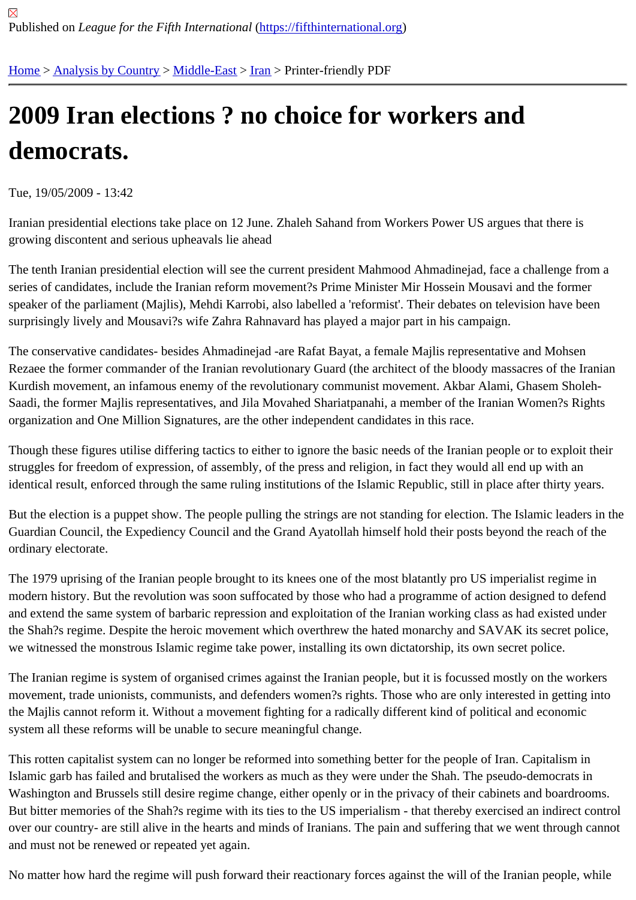## [200](https://fifthinternational.org/)[9 Iran elec](https://fifthinternational.org/category/1)[tions ?](https://fifthinternational.org/category/1/178) [no](https://fifthinternational.org/category/1/178/182) choice for workers and democrats.

Tue, 19/05/2009 - 13:42

Iranian presidential elections take place on 12 June. Zhaleh Sahand from Workers Power US argues that there is growing discontent and serious upheavals lie ahead

The tenth Iranian presidential election will see the current president Mahmood Ahmadinejad, face a challenge from a series of candidates, include the Iranian reform movement?s Prime Minister Mir Hossein Mousavi and the former speaker of the parliament (Majlis), Mehdi Karrobi, also labelled a 'reformist'. Their debates on television have been surprisingly lively and Mousavi?s wife Zahra Rahnavard has played a major part in his campaign.

The conservative candidates- besides Ahmadinejad -are Rafat Bayat, a female Majlis representative and Mohsen Rezaee the former commander of the Iranian revolutionary Guard (the architect of the bloody massacres of the Ira Kurdish movement, an infamous enemy of the revolutionary communist movement. Akbar Alami, Ghasem Sholeh-Saadi, the former Majlis representatives, and Jila Movahed Shariatpanahi, a member of the Iranian Women?s Rigl organization and One Million Signatures, are the other independent candidates in this race.

Though these figures utilise differing tactics to either to ignore the basic needs of the Iranian people or to exploit the struggles for freedom of expression, of assembly, of the press and religion, in fact they would all end up with an identical result, enforced through the same ruling institutions of the Islamic Republic, still in place after thirty years.

But the election is a puppet show. The people pulling the strings are not standing for election. The Islamic leaders Guardian Council, the Expediency Council and the Grand Ayatollah himself hold their posts beyond the reach of th ordinary electorate.

The 1979 uprising of the Iranian people brought to its knees one of the most blatantly pro US imperialist regime in modern history. But the revolution was soon suffocated by those who had a programme of action designed to defe and extend the same system of barbaric repression and exploitation of the Iranian working class as had existed ur the Shah?s regime. Despite the heroic movement which overthrew the hated monarchy and SAVAK its secret poli we witnessed the monstrous Islamic regime take power, installing its own dictatorship, its own secret police.

The Iranian regime is system of organised crimes against the Iranian people, but it is focussed mostly on the work movement, trade unionists, communists, and defenders women?s rights. Those who are only interested in getting the Majlis cannot reform it. Without a movement fighting for a radically different kind of political and economic system all these reforms will be unable to secure meaningful change.

This rotten capitalist system can no longer be reformed into something better for the people of Iran. Capitalism in Islamic garb has failed and brutalised the workers as much as they were under the Shah. The pseudo-democrats i Washington and Brussels still desire regime change, either openly or in the privacy of their cabinets and boardroor But bitter memories of the Shah?s regime with its ties to the US imperialism - that thereby exercised an indirect co over our country- are still alive in the hearts and minds of Iranians. The pain and suffering that we went through ca and must not be renewed or repeated yet again.

No matter how hard the regime will push forward their reactionary forces against the will of the Iranian people, whi